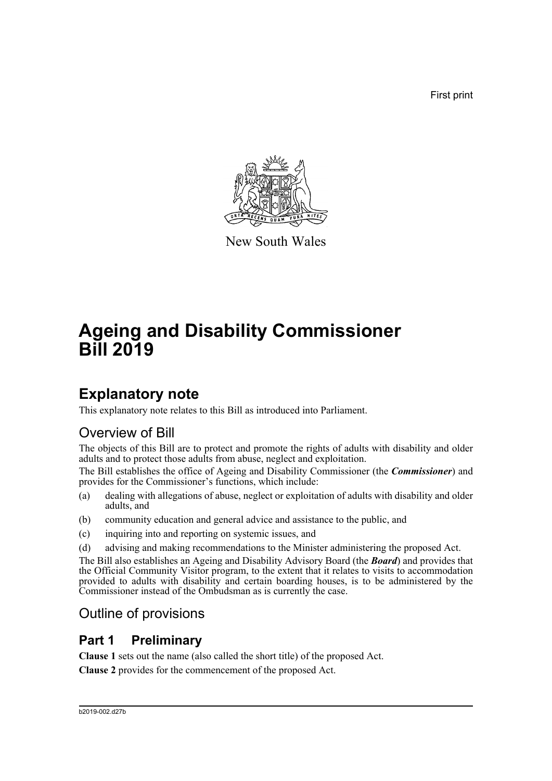First print



New South Wales

# **Ageing and Disability Commissioner Bill 2019**

# **Explanatory note**

This explanatory note relates to this Bill as introduced into Parliament.

# Overview of Bill

The objects of this Bill are to protect and promote the rights of adults with disability and older adults and to protect those adults from abuse, neglect and exploitation.

The Bill establishes the office of Ageing and Disability Commissioner (the *Commissioner*) and provides for the Commissioner's functions, which include:

- (a) dealing with allegations of abuse, neglect or exploitation of adults with disability and older adults, and
- (b) community education and general advice and assistance to the public, and
- (c) inquiring into and reporting on systemic issues, and
- (d) advising and making recommendations to the Minister administering the proposed Act.

The Bill also establishes an Ageing and Disability Advisory Board (the *Board*) and provides that the Official Community Visitor program, to the extent that it relates to visits to accommodation provided to adults with disability and certain boarding houses, is to be administered by the Commissioner instead of the Ombudsman as is currently the case.

# Outline of provisions

## **Part 1 Preliminary**

**Clause 1** sets out the name (also called the short title) of the proposed Act.

**Clause 2** provides for the commencement of the proposed Act.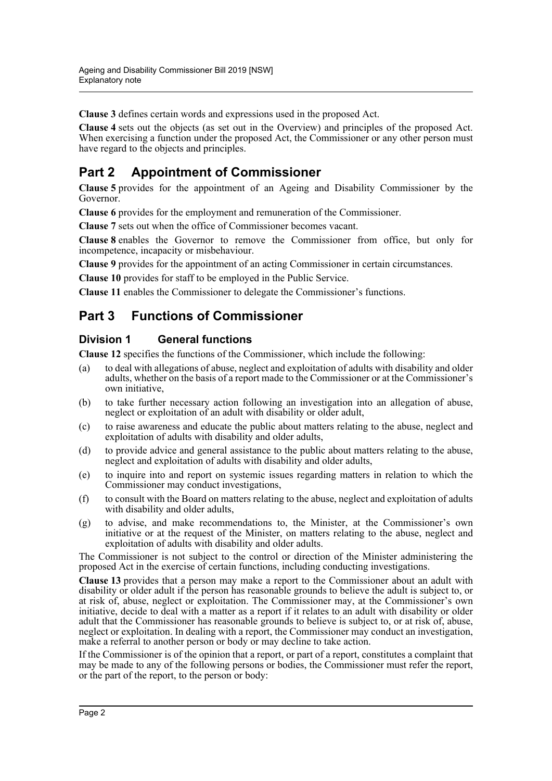**Clause 3** defines certain words and expressions used in the proposed Act.

**Clause 4** sets out the objects (as set out in the Overview) and principles of the proposed Act. When exercising a function under the proposed Act, the Commissioner or any other person must have regard to the objects and principles.

## **Part 2 Appointment of Commissioner**

**Clause 5** provides for the appointment of an Ageing and Disability Commissioner by the Governor.

**Clause 6** provides for the employment and remuneration of the Commissioner.

**Clause 7** sets out when the office of Commissioner becomes vacant.

**Clause 8** enables the Governor to remove the Commissioner from office, but only for incompetence, incapacity or misbehaviour.

**Clause 9** provides for the appointment of an acting Commissioner in certain circumstances.

**Clause 10** provides for staff to be employed in the Public Service.

**Clause 11** enables the Commissioner to delegate the Commissioner's functions.

## **Part 3 Functions of Commissioner**

### **Division 1 General functions**

**Clause 12** specifies the functions of the Commissioner, which include the following:

- (a) to deal with allegations of abuse, neglect and exploitation of adults with disability and older adults, whether on the basis of a report made to the Commissioner or at the Commissioner's own initiative,
- (b) to take further necessary action following an investigation into an allegation of abuse, neglect or exploitation of an adult with disability or older adult,
- (c) to raise awareness and educate the public about matters relating to the abuse, neglect and exploitation of adults with disability and older adults,
- (d) to provide advice and general assistance to the public about matters relating to the abuse, neglect and exploitation of adults with disability and older adults,
- (e) to inquire into and report on systemic issues regarding matters in relation to which the Commissioner may conduct investigations,
- (f) to consult with the Board on matters relating to the abuse, neglect and exploitation of adults with disability and older adults,
- (g) to advise, and make recommendations to, the Minister, at the Commissioner's own initiative or at the request of the Minister, on matters relating to the abuse, neglect and exploitation of adults with disability and older adults.

The Commissioner is not subject to the control or direction of the Minister administering the proposed Act in the exercise of certain functions, including conducting investigations.

**Clause 13** provides that a person may make a report to the Commissioner about an adult with disability or older adult if the person has reasonable grounds to believe the adult is subject to, or at risk of, abuse, neglect or exploitation. The Commissioner may, at the Commissioner's own initiative, decide to deal with a matter as a report if it relates to an adult with disability or older adult that the Commissioner has reasonable grounds to believe is subject to, or at risk of, abuse, neglect or exploitation. In dealing with a report, the Commissioner may conduct an investigation, make a referral to another person or body or may decline to take action.

If the Commissioner is of the opinion that a report, or part of a report, constitutes a complaint that may be made to any of the following persons or bodies, the Commissioner must refer the report, or the part of the report, to the person or body: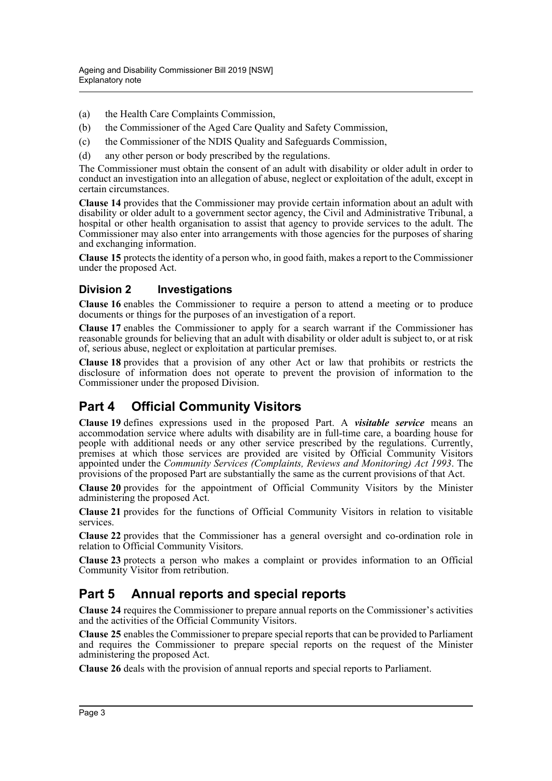- (a) the Health Care Complaints Commission,
- (b) the Commissioner of the Aged Care Quality and Safety Commission,
- (c) the Commissioner of the NDIS Quality and Safeguards Commission,
- (d) any other person or body prescribed by the regulations.

The Commissioner must obtain the consent of an adult with disability or older adult in order to conduct an investigation into an allegation of abuse, neglect or exploitation of the adult, except in certain circumstances.

**Clause 14** provides that the Commissioner may provide certain information about an adult with disability or older adult to a government sector agency, the Civil and Administrative Tribunal, a hospital or other health organisation to assist that agency to provide services to the adult. The Commissioner may also enter into arrangements with those agencies for the purposes of sharing and exchanging information.

**Clause 15** protects the identity of a person who, in good faith, makes a report to the Commissioner under the proposed Act.

### **Division 2 Investigations**

**Clause 16** enables the Commissioner to require a person to attend a meeting or to produce documents or things for the purposes of an investigation of a report.

**Clause 17** enables the Commissioner to apply for a search warrant if the Commissioner has reasonable grounds for believing that an adult with disability or older adult is subject to, or at risk of, serious abuse, neglect or exploitation at particular premises.

**Clause 18** provides that a provision of any other Act or law that prohibits or restricts the disclosure of information does not operate to prevent the provision of information to the Commissioner under the proposed Division.

## **Part 4 Official Community Visitors**

**Clause 19** defines expressions used in the proposed Part. A *visitable service* means an accommodation service where adults with disability are in full-time care, a boarding house for people with additional needs or any other service prescribed by the regulations. Currently, premises at which those services are provided are visited by Official Community Visitors appointed under the *Community Services (Complaints, Reviews and Monitoring) Act 1993*. The provisions of the proposed Part are substantially the same as the current provisions of that Act.

**Clause 20** provides for the appointment of Official Community Visitors by the Minister administering the proposed Act.

**Clause 21** provides for the functions of Official Community Visitors in relation to visitable services.

**Clause 22** provides that the Commissioner has a general oversight and co-ordination role in relation to Official Community Visitors.

**Clause 23** protects a person who makes a complaint or provides information to an Official Community Visitor from retribution.

## **Part 5 Annual reports and special reports**

**Clause 24** requires the Commissioner to prepare annual reports on the Commissioner's activities and the activities of the Official Community Visitors.

**Clause 25** enables the Commissioner to prepare special reports that can be provided to Parliament and requires the Commissioner to prepare special reports on the request of the Minister administering the proposed Act.

**Clause 26** deals with the provision of annual reports and special reports to Parliament.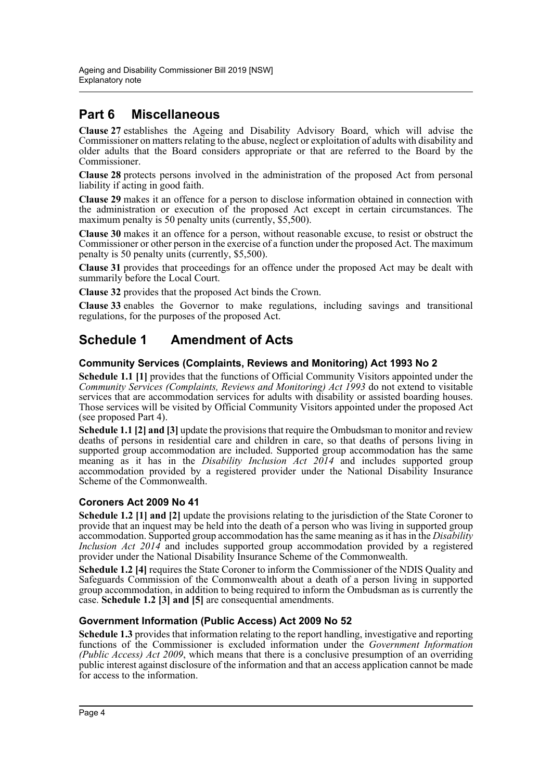## **Part 6 Miscellaneous**

**Clause 27** establishes the Ageing and Disability Advisory Board, which will advise the Commissioner on matters relating to the abuse, neglect or exploitation of adults with disability and older adults that the Board considers appropriate or that are referred to the Board by the Commissioner.

**Clause 28** protects persons involved in the administration of the proposed Act from personal liability if acting in good faith.

**Clause 29** makes it an offence for a person to disclose information obtained in connection with the administration or execution of the proposed Act except in certain circumstances. The maximum penalty is 50 penalty units (currently, \$5,500).

**Clause 30** makes it an offence for a person, without reasonable excuse, to resist or obstruct the Commissioner or other person in the exercise of a function under the proposed Act. The maximum penalty is 50 penalty units (currently, \$5,500).

**Clause 31** provides that proceedings for an offence under the proposed Act may be dealt with summarily before the Local Court.

**Clause 32** provides that the proposed Act binds the Crown.

**Clause 33** enables the Governor to make regulations, including savings and transitional regulations, for the purposes of the proposed Act.

## **Schedule 1 Amendment of Acts**

#### **Community Services (Complaints, Reviews and Monitoring) Act 1993 No 2**

**Schedule 1.1 [1]** provides that the functions of Official Community Visitors appointed under the *Community Services (Complaints, Reviews and Monitoring) Act 1993* do not extend to visitable services that are accommodation services for adults with disability or assisted boarding houses. Those services will be visited by Official Community Visitors appointed under the proposed Act (see proposed Part 4).

**Schedule 1.1 [2] and [3]** update the provisions that require the Ombudsman to monitor and review deaths of persons in residential care and children in care, so that deaths of persons living in supported group accommodation are included. Supported group accommodation has the same meaning as it has in the *Disability Inclusion Act 2014* and includes supported group accommodation provided by a registered provider under the National Disability Insurance Scheme of the Commonwealth.

### **Coroners Act 2009 No 41**

**Schedule 1.2 [1] and [2]** update the provisions relating to the jurisdiction of the State Coroner to provide that an inquest may be held into the death of a person who was living in supported group accommodation. Supported group accommodation has the same meaning as it has in the *Disability Inclusion Act 2014* and includes supported group accommodation provided by a registered provider under the National Disability Insurance Scheme of the Commonwealth.

**Schedule 1.2 [4]** requires the State Coroner to inform the Commissioner of the NDIS Quality and Safeguards Commission of the Commonwealth about a death of a person living in supported group accommodation, in addition to being required to inform the Ombudsman as is currently the case. **Schedule 1.2 [3] and [5]** are consequential amendments.

#### **Government Information (Public Access) Act 2009 No 52**

**Schedule 1.3** provides that information relating to the report handling, investigative and reporting functions of the Commissioner is excluded information under the *Government Information (Public Access) Act 2009*, which means that there is a conclusive presumption of an overriding public interest against disclosure of the information and that an access application cannot be made for access to the information.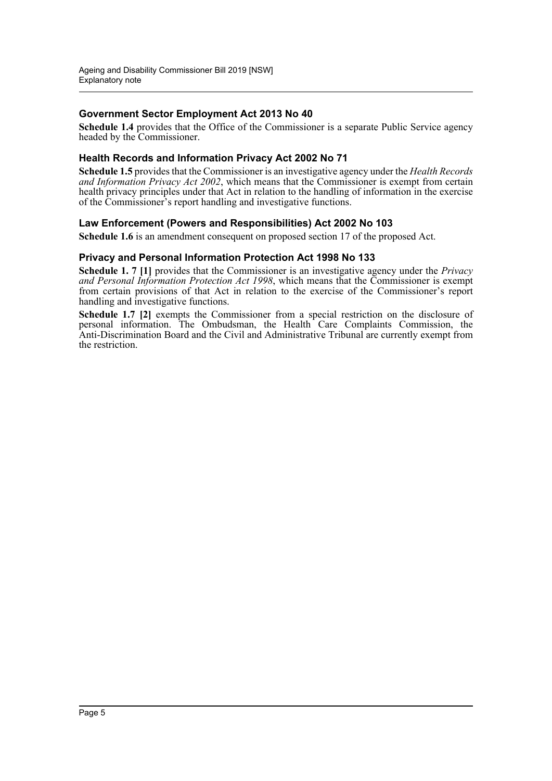### **Government Sector Employment Act 2013 No 40**

**Schedule 1.4** provides that the Office of the Commissioner is a separate Public Service agency headed by the Commissioner.

#### **Health Records and Information Privacy Act 2002 No 71**

**Schedule 1.5** provides that the Commissioner is an investigative agency under the *Health Records and Information Privacy Act 2002*, which means that the Commissioner is exempt from certain health privacy principles under that Act in relation to the handling of information in the exercise of the Commissioner's report handling and investigative functions.

#### **Law Enforcement (Powers and Responsibilities) Act 2002 No 103**

**Schedule 1.6** is an amendment consequent on proposed section 17 of the proposed Act.

#### **Privacy and Personal Information Protection Act 1998 No 133**

**Schedule 1. 7 [1]** provides that the Commissioner is an investigative agency under the *Privacy and Personal Information Protection Act 1998*, which means that the Commissioner is exempt from certain provisions of that Act in relation to the exercise of the Commissioner's report handling and investigative functions.

**Schedule 1.7 [2]** exempts the Commissioner from a special restriction on the disclosure of personal information. The Ombudsman, the Health Care Complaints Commission, the Anti-Discrimination Board and the Civil and Administrative Tribunal are currently exempt from the restriction.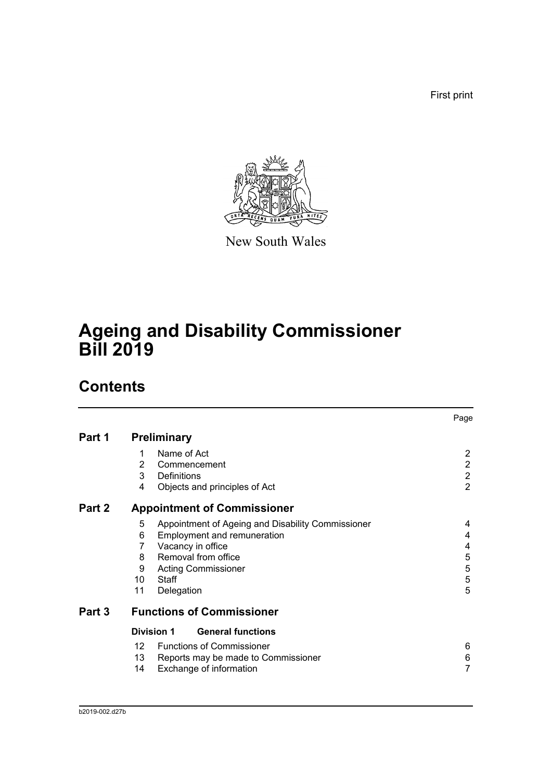First print



New South Wales

# **Ageing and Disability Commissioner Bill 2019**

# **Contents**

|        |                                                        | Page           |
|--------|--------------------------------------------------------|----------------|
| Part 1 | <b>Preliminary</b>                                     |                |
|        | Name of Act<br>1                                       | 2              |
|        | 2<br>Commencement                                      | $\overline{2}$ |
|        | 3<br>Definitions                                       | $\overline{2}$ |
|        | 4<br>Objects and principles of Act                     | $\overline{2}$ |
| Part 2 | <b>Appointment of Commissioner</b>                     |                |
|        | 5<br>Appointment of Ageing and Disability Commissioner | 4              |
|        | Employment and remuneration<br>6                       | 4              |
|        | Vacancy in office<br>7                                 | 4              |
|        | Removal from office<br>8                               | 5              |
|        | 9<br><b>Acting Commissioner</b>                        | $\mathbf 5$    |
|        | 10<br>Staff                                            | $\mathbf 5$    |
|        | 11<br>Delegation                                       | 5              |
| Part 3 | <b>Functions of Commissioner</b>                       |                |
|        | <b>General functions</b><br><b>Division 1</b>          |                |
|        | <b>Functions of Commissioner</b><br>12 <sup>°</sup>    | 6              |
|        | 13<br>Reports may be made to Commissioner              | 6              |
|        | 14<br>Exchange of information                          | $\overline{7}$ |
|        |                                                        |                |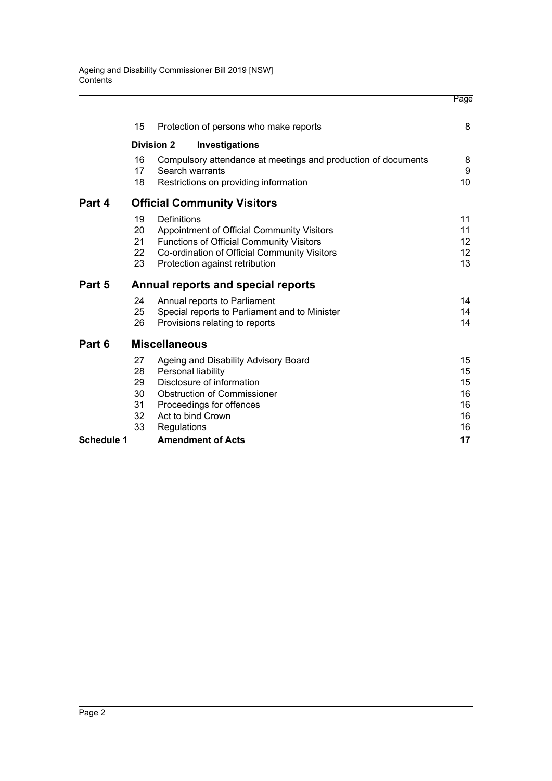|                   |                                        |                      |                                                                                                                                                                                 | Page                                    |
|-------------------|----------------------------------------|----------------------|---------------------------------------------------------------------------------------------------------------------------------------------------------------------------------|-----------------------------------------|
|                   | 15                                     |                      | Protection of persons who make reports                                                                                                                                          | 8                                       |
|                   |                                        | <b>Division 2</b>    | Investigations                                                                                                                                                                  |                                         |
|                   | 16<br>17<br>18                         |                      | Compulsory attendance at meetings and production of documents<br>Search warrants<br>Restrictions on providing information                                                       | 8<br>9<br>10                            |
| Part 4            |                                        |                      | <b>Official Community Visitors</b>                                                                                                                                              |                                         |
|                   | 19<br>20<br>21<br>22<br>23             | Definitions          | Appointment of Official Community Visitors<br><b>Functions of Official Community Visitors</b><br>Co-ordination of Official Community Visitors<br>Protection against retribution | 11<br>11<br>12 <sup>2</sup><br>12<br>13 |
| Part 5            |                                        |                      | Annual reports and special reports                                                                                                                                              |                                         |
|                   | 24<br>25<br>26                         |                      | Annual reports to Parliament<br>Special reports to Parliament and to Minister<br>Provisions relating to reports                                                                 | 14<br>14<br>14                          |
| Part 6            |                                        | <b>Miscellaneous</b> |                                                                                                                                                                                 |                                         |
|                   | 27<br>28<br>29<br>30<br>31<br>32<br>33 | Regulations          | Ageing and Disability Advisory Board<br>Personal liability<br>Disclosure of information<br><b>Obstruction of Commissioner</b><br>Proceedings for offences<br>Act to bind Crown  | 15<br>15<br>15<br>16<br>16<br>16<br>16  |
| <b>Schedule 1</b> |                                        |                      | <b>Amendment of Acts</b>                                                                                                                                                        | 17                                      |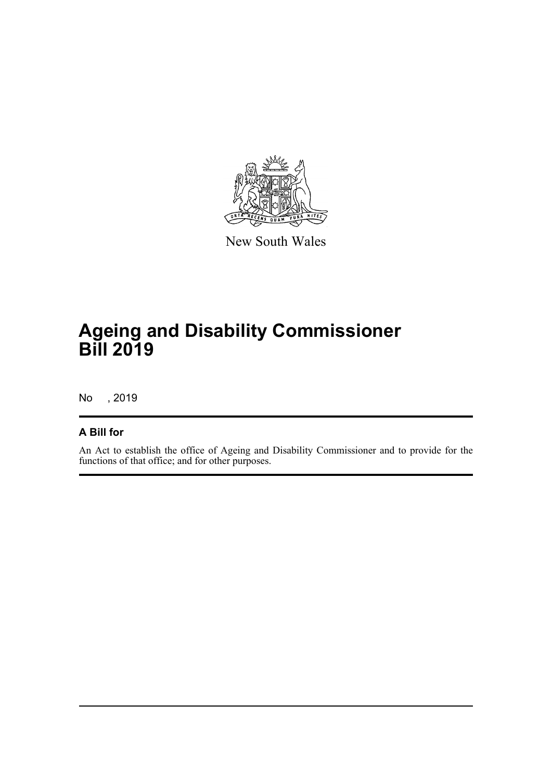

New South Wales

# **Ageing and Disability Commissioner Bill 2019**

No , 2019

## **A Bill for**

An Act to establish the office of Ageing and Disability Commissioner and to provide for the functions of that office; and for other purposes.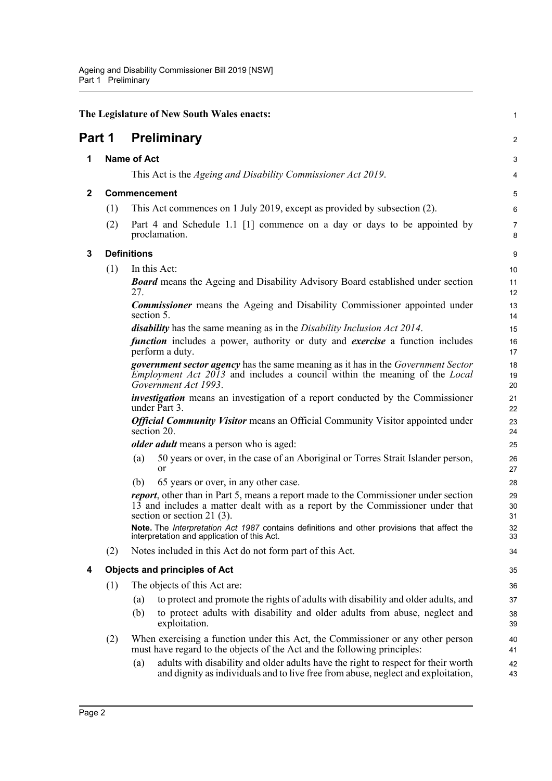<span id="page-8-4"></span><span id="page-8-3"></span><span id="page-8-2"></span><span id="page-8-1"></span><span id="page-8-0"></span>

|              |                    | The Legislature of New South Wales enacts:                                                                                                                                                                     | $\mathbf{1}$        |  |  |
|--------------|--------------------|----------------------------------------------------------------------------------------------------------------------------------------------------------------------------------------------------------------|---------------------|--|--|
| Part 1       |                    | <b>Preliminary</b>                                                                                                                                                                                             | 2                   |  |  |
| 1            |                    | <b>Name of Act</b>                                                                                                                                                                                             | 3                   |  |  |
|              |                    | This Act is the Ageing and Disability Commissioner Act 2019.                                                                                                                                                   | 4                   |  |  |
| $\mathbf{2}$ |                    | Commencement                                                                                                                                                                                                   |                     |  |  |
|              | (1)                | This Act commences on 1 July 2019, except as provided by subsection (2).                                                                                                                                       | 6                   |  |  |
|              | (2)                | Part 4 and Schedule 1.1 [1] commence on a day or days to be appointed by<br>proclamation.                                                                                                                      | $\overline{7}$<br>8 |  |  |
| 3            | <b>Definitions</b> |                                                                                                                                                                                                                | 9                   |  |  |
|              | (1)                | In this Act:                                                                                                                                                                                                   | 10                  |  |  |
|              |                    | <b>Board</b> means the Ageing and Disability Advisory Board established under section<br>27.                                                                                                                   | 11<br>12            |  |  |
|              |                    | <b>Commissioner</b> means the Ageing and Disability Commissioner appointed under<br>section 5.                                                                                                                 | 13<br>14            |  |  |
|              |                    | <i>disability</i> has the same meaning as in the <i>Disability Inclusion Act 2014</i> .                                                                                                                        | 15                  |  |  |
|              |                    | <i>function</i> includes a power, authority or duty and <i>exercise</i> a function includes<br>perform a duty.                                                                                                 | 16<br>17            |  |  |
|              |                    | <b>government sector agency</b> has the same meaning as it has in the Government Sector<br><i>Employment Act 2013</i> and includes a council within the meaning of the Local<br>Government Act 1993.           | 18<br>19<br>20      |  |  |
|              |                    | <i>investigation</i> means an investigation of a report conducted by the Commissioner<br>under Part 3.                                                                                                         | 21<br>22            |  |  |
|              |                    | <b>Official Community Visitor</b> means an Official Community Visitor appointed under<br>section 20.                                                                                                           | 23<br>24            |  |  |
|              |                    | <i>older adult</i> means a person who is aged:                                                                                                                                                                 | 25                  |  |  |
|              |                    | 50 years or over, in the case of an Aboriginal or Torres Strait Islander person,<br>(a)<br><b>or</b>                                                                                                           | 26<br>27            |  |  |
|              |                    | 65 years or over, in any other case.<br>(b)                                                                                                                                                                    | 28                  |  |  |
|              |                    | <i>report</i> , other than in Part 5, means a report made to the Commissioner under section<br>13 and includes a matter dealt with as a report by the Commissioner under that<br>section or section 21 $(3)$ . | 29<br>30<br>31      |  |  |
|              |                    | Note. The Interpretation Act 1987 contains definitions and other provisions that affect the<br>interpretation and application of this Act.                                                                     | 32<br>33            |  |  |
|              | (2)                | Notes included in this Act do not form part of this Act.                                                                                                                                                       | 34                  |  |  |
| 4            |                    | <b>Objects and principles of Act</b>                                                                                                                                                                           | 35                  |  |  |
|              | (1)                | The objects of this Act are:                                                                                                                                                                                   | 36                  |  |  |
|              |                    | to protect and promote the rights of adults with disability and older adults, and<br>(a)                                                                                                                       | 37                  |  |  |
|              |                    | to protect adults with disability and older adults from abuse, neglect and<br>(b)<br>exploitation.                                                                                                             | 38<br>39            |  |  |
|              | (2)                | When exercising a function under this Act, the Commissioner or any other person<br>must have regard to the objects of the Act and the following principles:                                                    | 40<br>41            |  |  |
|              |                    | adults with disability and older adults have the right to respect for their worth<br>(a)<br>and dignity as individuals and to live free from abuse, neglect and exploitation,                                  | 42<br>43            |  |  |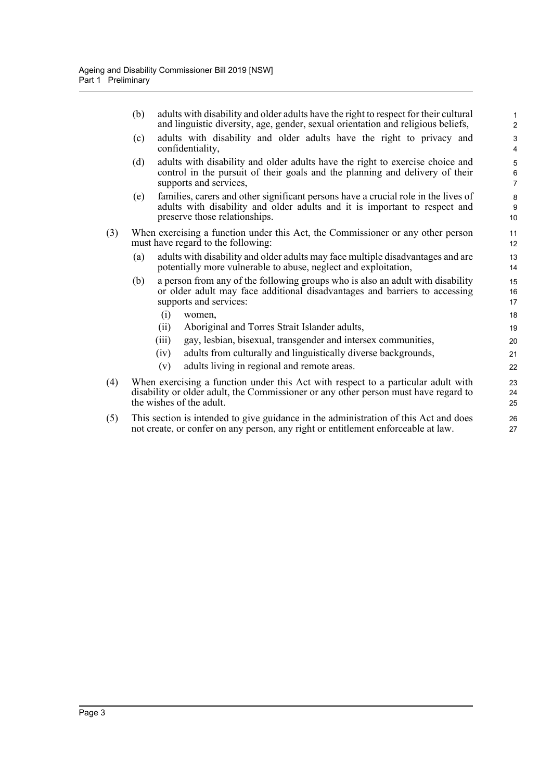|     | (b) |       | adults with disability and older adults have the right to respect for their cultural<br>and linguistic diversity, age, gender, sexual orientation and religious beliefs,                             | $\mathbf{1}$<br>$\overline{2}$ |
|-----|-----|-------|------------------------------------------------------------------------------------------------------------------------------------------------------------------------------------------------------|--------------------------------|
|     | (c) |       | adults with disability and older adults have the right to privacy and<br>confidentiality,                                                                                                            | $\mathsf 3$<br>4               |
|     | (d) |       | adults with disability and older adults have the right to exercise choice and<br>control in the pursuit of their goals and the planning and delivery of their<br>supports and services,              | 5<br>$\,6$<br>$\overline{7}$   |
|     | (e) |       | families, carers and other significant persons have a crucial role in the lives of<br>adults with disability and older adults and it is important to respect and<br>preserve those relationships.    | 8<br>9<br>10                   |
| (3) |     |       | When exercising a function under this Act, the Commissioner or any other person<br>must have regard to the following:                                                                                | 11<br>12                       |
|     | (a) |       | adults with disability and older adults may face multiple disadvantages and are<br>potentially more vulnerable to abuse, neglect and exploitation,                                                   | 13<br>14                       |
|     | (b) |       | a person from any of the following groups who is also an adult with disability<br>or older adult may face additional disadvantages and barriers to accessing<br>supports and services:               | 15<br>16<br>17                 |
|     |     | (i)   | women,                                                                                                                                                                                               | 18                             |
|     |     | (ii)  | Aboriginal and Torres Strait Islander adults,                                                                                                                                                        | 19                             |
|     |     | (iii) | gay, lesbian, bisexual, transgender and intersex communities,                                                                                                                                        | 20                             |
|     |     | (iv)  | adults from culturally and linguistically diverse backgrounds,                                                                                                                                       | 21                             |
|     |     | (v)   | adults living in regional and remote areas.                                                                                                                                                          | 22                             |
| (4) |     |       | When exercising a function under this Act with respect to a particular adult with<br>disability or older adult, the Commissioner or any other person must have regard to<br>the wishes of the adult. | 23<br>24<br>25                 |
| (5) |     |       | This section is intended to give guidance in the administration of this Act and does<br>not create, or confer on any person, any right or entitlement enforceable at law.                            | 26<br>27                       |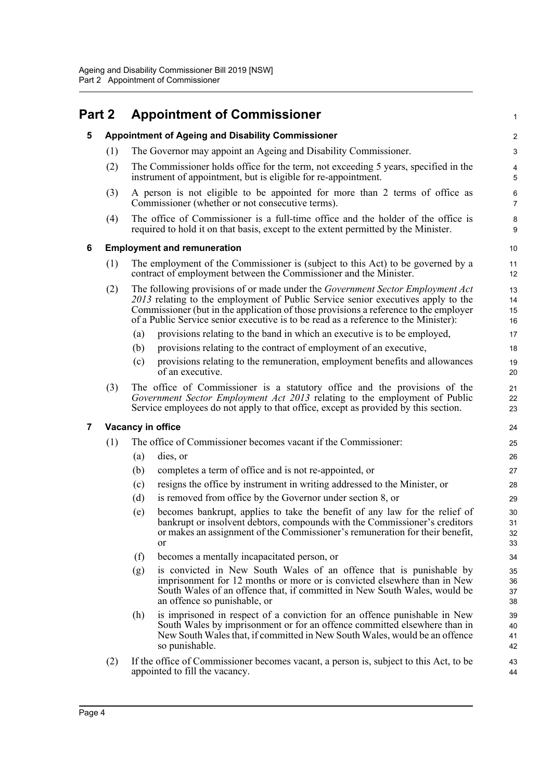<span id="page-10-3"></span><span id="page-10-2"></span><span id="page-10-1"></span><span id="page-10-0"></span>

| Part 2 |     | <b>Appointment of Commissioner</b>                                                                                                                                                                                                                                                                                                                       | 1                    |
|--------|-----|----------------------------------------------------------------------------------------------------------------------------------------------------------------------------------------------------------------------------------------------------------------------------------------------------------------------------------------------------------|----------------------|
| 5      |     | <b>Appointment of Ageing and Disability Commissioner</b>                                                                                                                                                                                                                                                                                                 | $\overline{c}$       |
|        | (1) | The Governor may appoint an Ageing and Disability Commissioner.                                                                                                                                                                                                                                                                                          | 3                    |
|        | (2) | The Commissioner holds office for the term, not exceeding 5 years, specified in the<br>instrument of appointment, but is eligible for re-appointment.                                                                                                                                                                                                    | 4<br>5               |
|        | (3) | A person is not eligible to be appointed for more than 2 terms of office as<br>Commissioner (whether or not consecutive terms).                                                                                                                                                                                                                          | 6<br>7               |
|        | (4) | The office of Commissioner is a full-time office and the holder of the office is<br>required to hold it on that basis, except to the extent permitted by the Minister.                                                                                                                                                                                   | 8<br>9               |
| 6      |     | <b>Employment and remuneration</b>                                                                                                                                                                                                                                                                                                                       | 10                   |
|        | (1) | The employment of the Commissioner is (subject to this Act) to be governed by a<br>contract of employment between the Commissioner and the Minister.                                                                                                                                                                                                     | 11<br>12             |
|        | (2) | The following provisions of or made under the <i>Government Sector Employment Act</i><br>2013 relating to the employment of Public Service senior executives apply to the<br>Commissioner (but in the application of those provisions a reference to the employer<br>of a Public Service senior executive is to be read as a reference to the Minister): | 13<br>14<br>15<br>16 |
|        |     | provisions relating to the band in which an executive is to be employed,<br>(a)                                                                                                                                                                                                                                                                          | 17                   |
|        |     | provisions relating to the contract of employment of an executive,<br>(b)                                                                                                                                                                                                                                                                                | 18                   |
|        |     | provisions relating to the remuneration, employment benefits and allowances<br>(c)<br>of an executive.                                                                                                                                                                                                                                                   | 19<br>20             |
|        | (3) | The office of Commissioner is a statutory office and the provisions of the<br>Government Sector Employment Act 2013 relating to the employment of Public<br>Service employees do not apply to that office, except as provided by this section.                                                                                                           | 21<br>22<br>23       |
| 7      |     | Vacancy in office                                                                                                                                                                                                                                                                                                                                        | 24                   |
|        | (1) | The office of Commissioner becomes vacant if the Commissioner:                                                                                                                                                                                                                                                                                           | 25                   |
|        |     | (a)<br>dies, or                                                                                                                                                                                                                                                                                                                                          | 26                   |
|        |     | completes a term of office and is not re-appointed, or<br>(b)                                                                                                                                                                                                                                                                                            | 27                   |
|        |     | resigns the office by instrument in writing addressed to the Minister, or<br>(c)                                                                                                                                                                                                                                                                         | 28                   |
|        |     | is removed from office by the Governor under section 8, or<br>(d)                                                                                                                                                                                                                                                                                        | 29                   |
|        |     | becomes bankrupt, applies to take the benefit of any law for the relief of<br>(e)<br>bankrupt or insolvent debtors, compounds with the Commissioner's creditors<br>or makes an assignment of the Commissioner's remuneration for their benefit,<br><b>or</b>                                                                                             | 30<br>31<br>32<br>33 |
|        |     | (f)<br>becomes a mentally incapacitated person, or                                                                                                                                                                                                                                                                                                       | 34                   |
|        |     | is convicted in New South Wales of an offence that is punishable by<br>(g)<br>imprisonment for 12 months or more or is convicted elsewhere than in New<br>South Wales of an offence that, if committed in New South Wales, would be<br>an offence so punishable, or                                                                                      | 35<br>36<br>37<br>38 |
|        |     | is imprisoned in respect of a conviction for an offence punishable in New<br>(h)<br>South Wales by imprisonment or for an offence committed elsewhere than in<br>New South Wales that, if committed in New South Wales, would be an offence<br>so punishable.                                                                                            | 39<br>40<br>41<br>42 |
|        | (2) | If the office of Commissioner becomes vacant, a person is, subject to this Act, to be<br>appointed to fill the vacancy.                                                                                                                                                                                                                                  | 43<br>44             |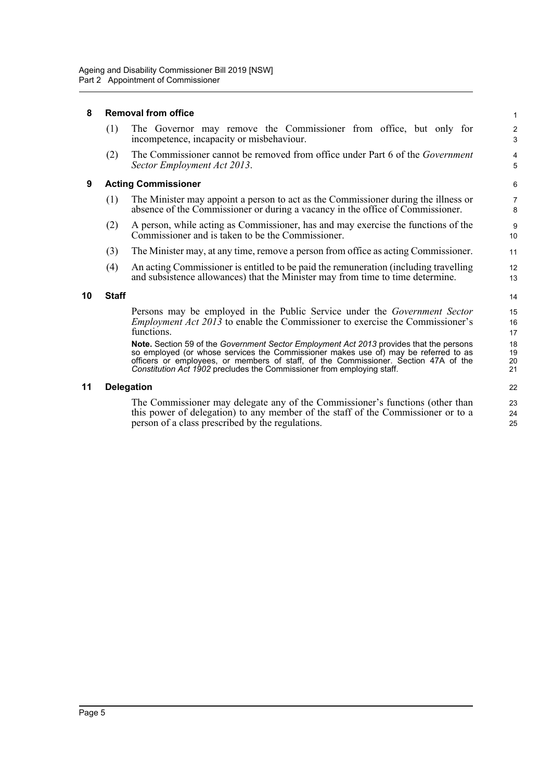#### <span id="page-11-0"></span>**8 Removal from office**

| (1) | The Governor may remove the Commissioner from office, but only for<br>incompetence, incapacity or misbehaviour.     |
|-----|---------------------------------------------------------------------------------------------------------------------|
| (2) | The Commissioner cannot be removed from office under Part 6 of the <i>Government</i><br>Sector Employment Act 2013. |

#### <span id="page-11-1"></span>**9 Acting Commissioner**

| (1) | The Minister may appoint a person to act as the Commissioner during the illness or |
|-----|------------------------------------------------------------------------------------|
|     | absence of the Commissioner or during a vacancy in the office of Commissioner.     |

- (2) A person, while acting as Commissioner, has and may exercise the functions of the Commissioner and is taken to be the Commissioner.
- (3) The Minister may, at any time, remove a person from office as acting Commissioner.
- (4) An acting Commissioner is entitled to be paid the remuneration (including travelling and subsistence allowances) that the Minister may from time to time determine.

#### <span id="page-11-2"></span>**10 Staff**

Persons may be employed in the Public Service under the *Government Sector Employment Act 2013* to enable the Commissioner to exercise the Commissioner's functions.

**Note.** Section 59 of the *Government Sector Employment Act 2013* provides that the persons so employed (or whose services the Commissioner makes use of) may be referred to as officers or employees, or members of staff, of the Commissioner. Section 47A of the *Constitution Act 1902* precludes the Commissioner from employing staff.

#### <span id="page-11-3"></span>**11 Delegation**

The Commissioner may delegate any of the Commissioner's functions (other than this power of delegation) to any member of the staff of the Commissioner or to a person of a class prescribed by the regulations.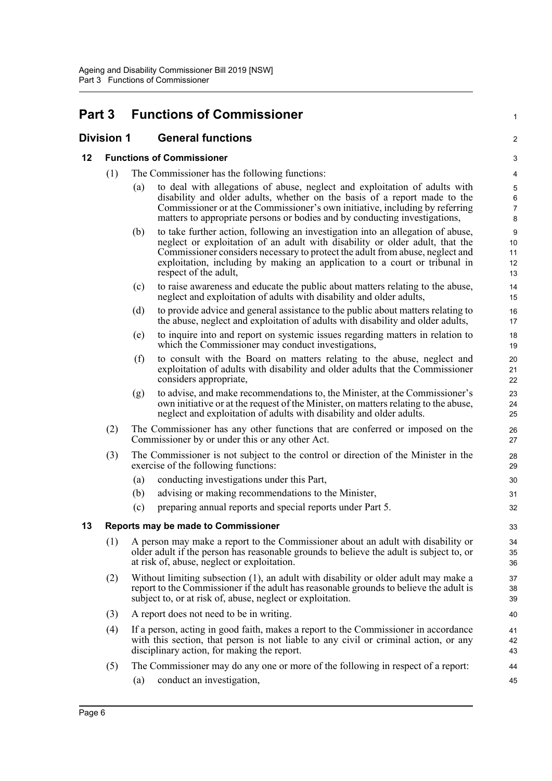## <span id="page-12-0"></span>**Part 3 Functions of Commissioner**

### <span id="page-12-1"></span>**Division 1 General functions**

#### <span id="page-12-2"></span>**12 Functions of Commissioner**

- (1) The Commissioner has the following functions:
	- (a) to deal with allegations of abuse, neglect and exploitation of adults with disability and older adults, whether on the basis of a report made to the Commissioner or at the Commissioner's own initiative, including by referring matters to appropriate persons or bodies and by conducting investigations,

1

 $\mathfrak{D}$ 

- (b) to take further action, following an investigation into an allegation of abuse, neglect or exploitation of an adult with disability or older adult, that the Commissioner considers necessary to protect the adult from abuse, neglect and exploitation, including by making an application to a court or tribunal in respect of the adult,
- (c) to raise awareness and educate the public about matters relating to the abuse, neglect and exploitation of adults with disability and older adults,
- (d) to provide advice and general assistance to the public about matters relating to the abuse, neglect and exploitation of adults with disability and older adults,
- (e) to inquire into and report on systemic issues regarding matters in relation to which the Commissioner may conduct investigations,
- (f) to consult with the Board on matters relating to the abuse, neglect and exploitation of adults with disability and older adults that the Commissioner considers appropriate,
- (g) to advise, and make recommendations to, the Minister, at the Commissioner's own initiative or at the request of the Minister, on matters relating to the abuse, neglect and exploitation of adults with disability and older adults.
- (2) The Commissioner has any other functions that are conferred or imposed on the Commissioner by or under this or any other Act.
- (3) The Commissioner is not subject to the control or direction of the Minister in the exercise of the following functions:
	- (a) conducting investigations under this Part,
	- (b) advising or making recommendations to the Minister,
	- (c) preparing annual reports and special reports under Part 5.

#### <span id="page-12-3"></span>**13 Reports may be made to Commissioner**

- (1) A person may make a report to the Commissioner about an adult with disability or older adult if the person has reasonable grounds to believe the adult is subject to, or at risk of, abuse, neglect or exploitation.
- (2) Without limiting subsection (1), an adult with disability or older adult may make a report to the Commissioner if the adult has reasonable grounds to believe the adult is subject to, or at risk of, abuse, neglect or exploitation.
- (3) A report does not need to be in writing.
- (4) If a person, acting in good faith, makes a report to the Commissioner in accordance with this section, that person is not liable to any civil or criminal action, or any disciplinary action, for making the report.
- (5) The Commissioner may do any one or more of the following in respect of a report: (a) conduct an investigation,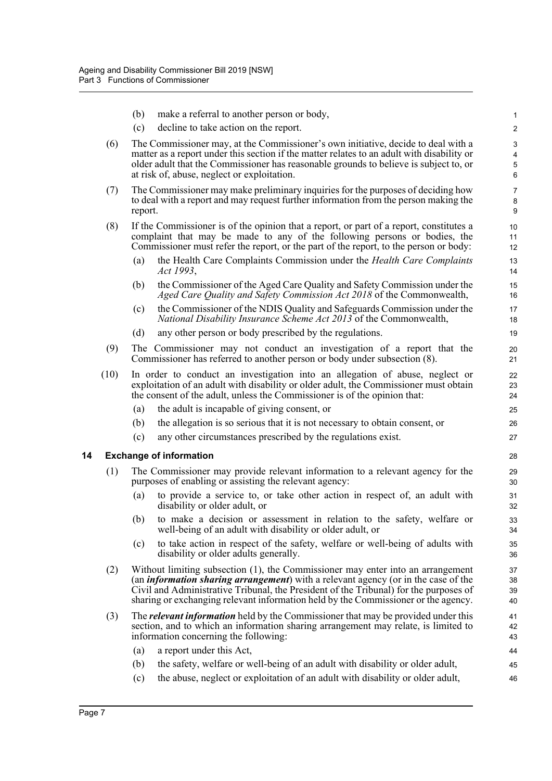- (b) make a referral to another person or body,
- (c) decline to take action on the report.
- (6) The Commissioner may, at the Commissioner's own initiative, decide to deal with a matter as a report under this section if the matter relates to an adult with disability or older adult that the Commissioner has reasonable grounds to believe is subject to, or at risk of, abuse, neglect or exploitation.

- (7) The Commissioner may make preliminary inquiries for the purposes of deciding how to deal with a report and may request further information from the person making the report.
- (8) If the Commissioner is of the opinion that a report, or part of a report, constitutes a complaint that may be made to any of the following persons or bodies, the Commissioner must refer the report, or the part of the report, to the person or body:
	- (a) the Health Care Complaints Commission under the *Health Care Complaints Act 1993*,
	- (b) the Commissioner of the Aged Care Quality and Safety Commission under the *Aged Care Quality and Safety Commission Act 2018* of the Commonwealth,
	- (c) the Commissioner of the NDIS Quality and Safeguards Commission under the *National Disability Insurance Scheme Act 2013* of the Commonwealth,
	- (d) any other person or body prescribed by the regulations.
- (9) The Commissioner may not conduct an investigation of a report that the Commissioner has referred to another person or body under subsection (8).
- (10) In order to conduct an investigation into an allegation of abuse, neglect or exploitation of an adult with disability or older adult, the Commissioner must obtain the consent of the adult, unless the Commissioner is of the opinion that:
	- (a) the adult is incapable of giving consent, or
	- (b) the allegation is so serious that it is not necessary to obtain consent, or
	- (c) any other circumstances prescribed by the regulations exist.

#### <span id="page-13-0"></span>**14 Exchange of information**

- (1) The Commissioner may provide relevant information to a relevant agency for the purposes of enabling or assisting the relevant agency:
	- (a) to provide a service to, or take other action in respect of, an adult with disability or older adult, or
	- (b) to make a decision or assessment in relation to the safety, welfare or well-being of an adult with disability or older adult, or
	- (c) to take action in respect of the safety, welfare or well-being of adults with disability or older adults generally.
- (2) Without limiting subsection (1), the Commissioner may enter into an arrangement (an *information sharing arrangement*) with a relevant agency (or in the case of the Civil and Administrative Tribunal, the President of the Tribunal) for the purposes of sharing or exchanging relevant information held by the Commissioner or the agency.
- (3) The *relevant information* held by the Commissioner that may be provided under this section, and to which an information sharing arrangement may relate, is limited to information concerning the following:
	- (a) a report under this Act,
	- (b) the safety, welfare or well-being of an adult with disability or older adult,
	- (c) the abuse, neglect or exploitation of an adult with disability or older adult,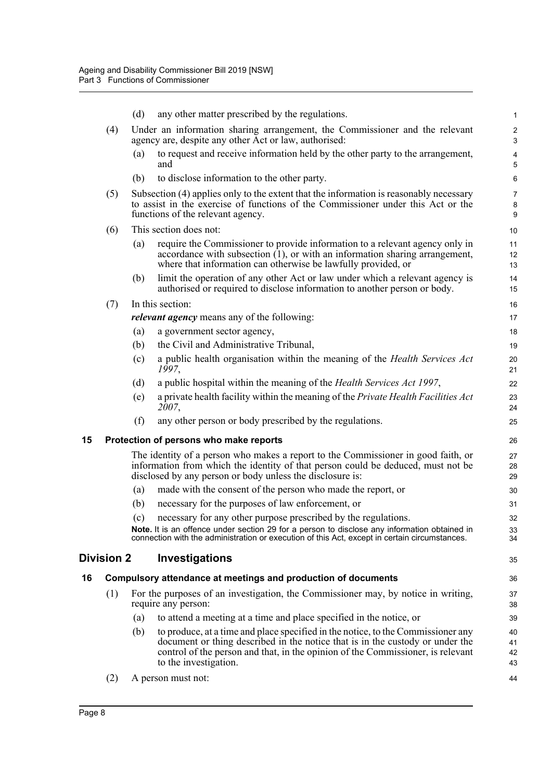<span id="page-14-2"></span><span id="page-14-1"></span><span id="page-14-0"></span>

|    |                   | (d) | any other matter prescribed by the regulations.                                                                                                                                                                                                      | $\mathbf{1}$                 |
|----|-------------------|-----|------------------------------------------------------------------------------------------------------------------------------------------------------------------------------------------------------------------------------------------------------|------------------------------|
|    | (4)               |     | Under an information sharing arrangement, the Commissioner and the relevant<br>agency are, despite any other Act or law, authorised:                                                                                                                 | $\sqrt{2}$<br>$\mathsf 3$    |
|    |                   | (a) | to request and receive information held by the other party to the arrangement,<br>and                                                                                                                                                                | $\overline{\mathbf{4}}$<br>5 |
|    |                   | (b) | to disclose information to the other party.                                                                                                                                                                                                          | 6                            |
|    | (5)               |     | Subsection (4) applies only to the extent that the information is reasonably necessary<br>to assist in the exercise of functions of the Commissioner under this Act or the<br>functions of the relevant agency.                                      | $\overline{7}$<br>8<br>9     |
|    | (6)               |     | This section does not:                                                                                                                                                                                                                               | 10                           |
|    |                   | (a) | require the Commissioner to provide information to a relevant agency only in<br>accordance with subsection $(1)$ , or with an information sharing arrangement,<br>where that information can otherwise be lawfully provided, or                      | 11<br>12<br>13               |
|    |                   | (b) | limit the operation of any other Act or law under which a relevant agency is<br>authorised or required to disclose information to another person or body.                                                                                            | 14<br>15                     |
|    | (7)               |     | In this section:                                                                                                                                                                                                                                     | 16                           |
|    |                   |     | <i>relevant agency</i> means any of the following:                                                                                                                                                                                                   | 17                           |
|    |                   | (a) | a government sector agency,                                                                                                                                                                                                                          | 18                           |
|    |                   | (b) | the Civil and Administrative Tribunal,                                                                                                                                                                                                               | 19                           |
|    |                   | (c) | a public health organisation within the meaning of the Health Services Act<br>1997,                                                                                                                                                                  | 20<br>21                     |
|    |                   | (d) | a public hospital within the meaning of the <i>Health Services Act 1997</i> ,                                                                                                                                                                        | 22                           |
|    |                   | (e) | a private health facility within the meaning of the Private Health Facilities Act<br>2007,                                                                                                                                                           | 23<br>24                     |
|    |                   | (f) | any other person or body prescribed by the regulations.                                                                                                                                                                                              | 25                           |
| 15 |                   |     | Protection of persons who make reports                                                                                                                                                                                                               | 26                           |
|    |                   |     | The identity of a person who makes a report to the Commissioner in good faith, or<br>information from which the identity of that person could be deduced, must not be<br>disclosed by any person or body unless the disclosure is:                   | 27<br>28<br>29               |
|    |                   | (a) | made with the consent of the person who made the report, or                                                                                                                                                                                          | 30                           |
|    |                   | (b) | necessary for the purposes of law enforcement, or                                                                                                                                                                                                    | 31                           |
|    |                   | (c) | necessary for any other purpose prescribed by the regulations.                                                                                                                                                                                       | 32                           |
|    |                   |     | Note. It is an offence under section 29 for a person to disclose any information obtained in<br>connection with the administration or execution of this Act, except in certain circumstances.                                                        | 33<br>34                     |
|    | <b>Division 2</b> |     | Investigations                                                                                                                                                                                                                                       | 35                           |
| 16 |                   |     | Compulsory attendance at meetings and production of documents                                                                                                                                                                                        | 36                           |
|    | (1)               |     | For the purposes of an investigation, the Commissioner may, by notice in writing,<br>require any person:                                                                                                                                             | 37<br>38                     |
|    |                   | (a) | to attend a meeting at a time and place specified in the notice, or                                                                                                                                                                                  | 39                           |
|    |                   | (b) | to produce, at a time and place specified in the notice, to the Commissioner any<br>document or thing described in the notice that is in the custody or under the<br>control of the person and that, in the opinion of the Commissioner, is relevant | 40<br>41<br>42               |
|    |                   |     | to the investigation.                                                                                                                                                                                                                                | 43                           |
|    | (2)               |     | A person must not:                                                                                                                                                                                                                                   | 44                           |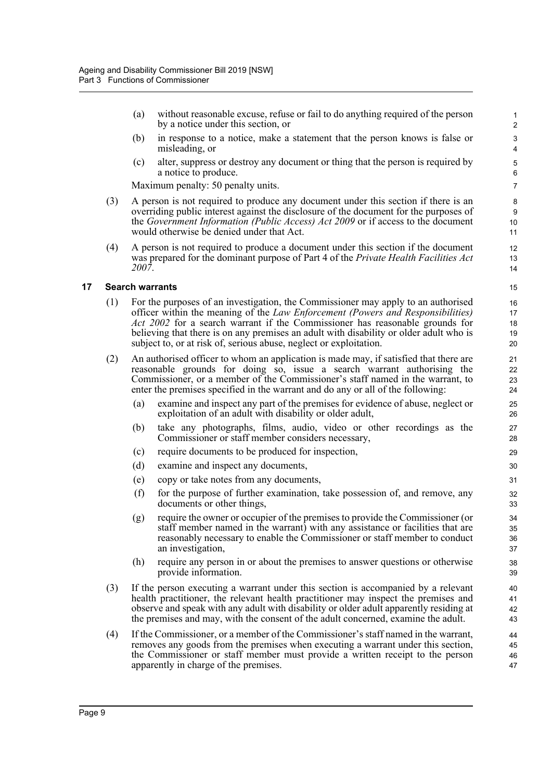(a) without reasonable excuse, refuse or fail to do anything required of the person by a notice under this section, or

- (b) in response to a notice, make a statement that the person knows is false or misleading, or
- (c) alter, suppress or destroy any document or thing that the person is required by a notice to produce.

Maximum penalty: 50 penalty units.

- (3) A person is not required to produce any document under this section if there is an overriding public interest against the disclosure of the document for the purposes of the *Government Information (Public Access) Act 2009* or if access to the document would otherwise be denied under that Act.
- (4) A person is not required to produce a document under this section if the document was prepared for the dominant purpose of Part 4 of the *Private Health Facilities Act 2007*.

#### <span id="page-15-0"></span>**17 Search warrants**

- (1) For the purposes of an investigation, the Commissioner may apply to an authorised officer within the meaning of the *Law Enforcement (Powers and Responsibilities) Act 2002* for a search warrant if the Commissioner has reasonable grounds for believing that there is on any premises an adult with disability or older adult who is subject to, or at risk of, serious abuse, neglect or exploitation.
- (2) An authorised officer to whom an application is made may, if satisfied that there are reasonable grounds for doing so, issue a search warrant authorising the Commissioner, or a member of the Commissioner's staff named in the warrant, to enter the premises specified in the warrant and do any or all of the following:
	- (a) examine and inspect any part of the premises for evidence of abuse, neglect or exploitation of an adult with disability or older adult,
	- (b) take any photographs, films, audio, video or other recordings as the Commissioner or staff member considers necessary,
	- (c) require documents to be produced for inspection,
	- (d) examine and inspect any documents,
	- (e) copy or take notes from any documents,
	- (f) for the purpose of further examination, take possession of, and remove, any documents or other things,
	- (g) require the owner or occupier of the premises to provide the Commissioner (or staff member named in the warrant) with any assistance or facilities that are reasonably necessary to enable the Commissioner or staff member to conduct an investigation,
	- (h) require any person in or about the premises to answer questions or otherwise provide information.
- (3) If the person executing a warrant under this section is accompanied by a relevant health practitioner, the relevant health practitioner may inspect the premises and observe and speak with any adult with disability or older adult apparently residing at the premises and may, with the consent of the adult concerned, examine the adult.
- (4) If the Commissioner, or a member of the Commissioner's staff named in the warrant, removes any goods from the premises when executing a warrant under this section, the Commissioner or staff member must provide a written receipt to the person apparently in charge of the premises.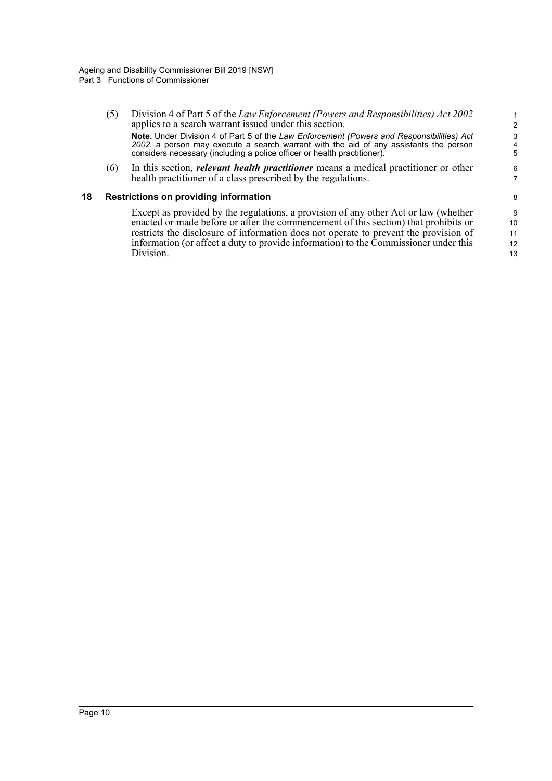(5) Division 4 of Part 5 of the *Law Enforcement (Powers and Responsibilities) Act 2002* applies to a search warrant issued under this section. **Note.** Under Division 4 of Part 5 of the *Law Enforcement (Powers and Responsibilities) Act 2002*, a person may execute a search warrant with the aid of any assistants the person considers necessary (including a police officer or health practitioner).

(6) In this section, *relevant health practitioner* means a medical practitioner or other health practitioner of a class prescribed by the regulations.

#### <span id="page-16-0"></span>**18 Restrictions on providing information**

Except as provided by the regulations, a provision of any other Act or law (whether enacted or made before or after the commencement of this section) that prohibits or restricts the disclosure of information does not operate to prevent the provision of information (or affect a duty to provide information) to the Commissioner under this Division.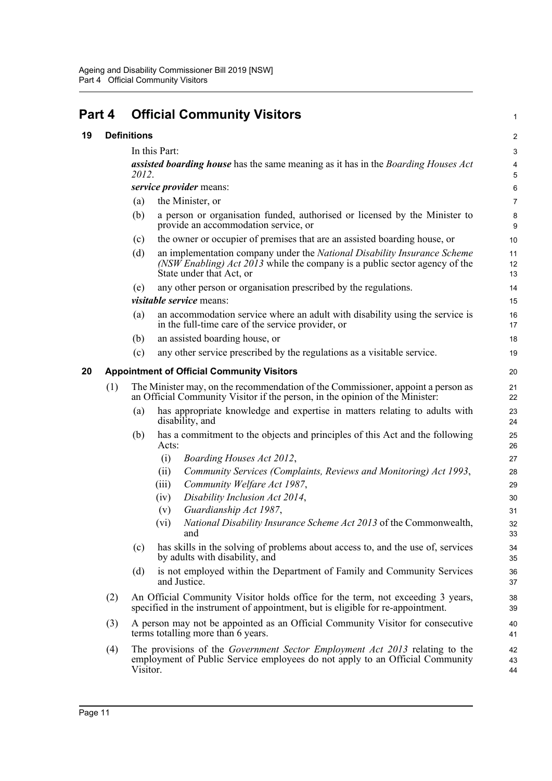<span id="page-17-2"></span><span id="page-17-1"></span><span id="page-17-0"></span>

| Part 4 |     |                    | <b>Official Community Visitors</b>                                                                                                                                                 | 1              |  |  |
|--------|-----|--------------------|------------------------------------------------------------------------------------------------------------------------------------------------------------------------------------|----------------|--|--|
| 19     |     | <b>Definitions</b> |                                                                                                                                                                                    |                |  |  |
|        |     |                    | In this Part:                                                                                                                                                                      | 3              |  |  |
|        |     | 2012.              | <b>assisted boarding house</b> has the same meaning as it has in the <i>Boarding Houses Act</i>                                                                                    | 4<br>5         |  |  |
|        |     |                    | service provider means:                                                                                                                                                            | 6              |  |  |
|        |     | (a)                | the Minister, or                                                                                                                                                                   | $\overline{7}$ |  |  |
|        |     | (b)                | a person or organisation funded, authorised or licensed by the Minister to<br>provide an accommodation service, or                                                                 | 8<br>9         |  |  |
|        |     | (c)                | the owner or occupier of premises that are an assisted boarding house, or                                                                                                          | 10             |  |  |
|        |     | (d)                | an implementation company under the National Disability Insurance Scheme<br>(NSW Enabling) Act 2013 while the company is a public sector agency of the<br>State under that Act, or | 11<br>12<br>13 |  |  |
|        |     | (e)                | any other person or organisation prescribed by the regulations.<br><i>visitable service</i> means:                                                                                 | 14<br>15       |  |  |
|        |     | (a)                | an accommodation service where an adult with disability using the service is<br>in the full-time care of the service provider, or                                                  | 16<br>17       |  |  |
|        |     | (b)                | an assisted boarding house, or                                                                                                                                                     | 18             |  |  |
|        |     | (c)                | any other service prescribed by the regulations as a visitable service.                                                                                                            | 19             |  |  |
| 20     |     |                    | <b>Appointment of Official Community Visitors</b>                                                                                                                                  | 20             |  |  |
|        | (1) |                    | The Minister may, on the recommendation of the Commissioner, appoint a person as<br>an Official Community Visitor if the person, in the opinion of the Minister:                   | 21<br>22       |  |  |
|        |     | (a)                | has appropriate knowledge and expertise in matters relating to adults with<br>disability, and                                                                                      | 23<br>24       |  |  |
|        |     | (b)                | has a commitment to the objects and principles of this Act and the following<br>Acts:                                                                                              | 25<br>26       |  |  |
|        |     |                    | (i)<br>Boarding Houses Act 2012,                                                                                                                                                   | 27             |  |  |
|        |     |                    | Community Services (Complaints, Reviews and Monitoring) Act 1993,<br>(ii)                                                                                                          | 28             |  |  |
|        |     |                    | Community Welfare Act 1987,<br>(iii)                                                                                                                                               | 29             |  |  |
|        |     |                    | Disability Inclusion Act 2014,<br>(iv)                                                                                                                                             | 30             |  |  |
|        |     |                    | Guardianship Act 1987,<br>(v)                                                                                                                                                      | 31             |  |  |
|        |     |                    | National Disability Insurance Scheme Act 2013 of the Commonwealth,<br>(V1)<br>and                                                                                                  | 32<br>33       |  |  |
|        |     | (c)                | has skills in the solving of problems about access to, and the use of, services<br>by adults with disability, and                                                                  | 34<br>35       |  |  |
|        |     | (d)                | is not employed within the Department of Family and Community Services<br>and Justice.                                                                                             | 36<br>37       |  |  |
|        | (2) |                    | An Official Community Visitor holds office for the term, not exceeding 3 years,<br>specified in the instrument of appointment, but is eligible for re-appointment.                 | 38<br>39       |  |  |
|        | (3) |                    | A person may not be appointed as an Official Community Visitor for consecutive<br>terms totalling more than 6 years.                                                               | 40<br>41       |  |  |
|        | (4) | Visitor.           | The provisions of the <i>Government Sector Employment Act 2013</i> relating to the<br>employment of Public Service employees do not apply to an Official Community                 | 42<br>43<br>44 |  |  |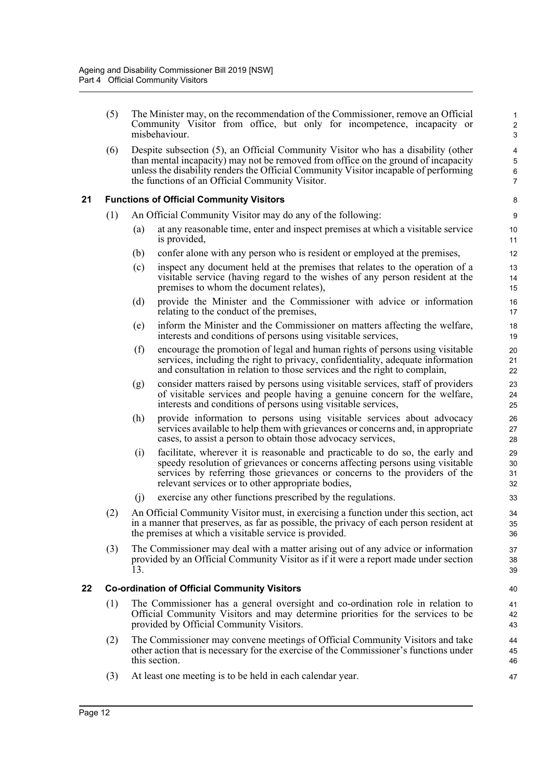(5) The Minister may, on the recommendation of the Commissioner, remove an Official Community Visitor from office, but only for incompetence, incapacity or misbehaviour.

(6) Despite subsection (5), an Official Community Visitor who has a disability (other than mental incapacity) may not be removed from office on the ground of incapacity unless the disability renders the Official Community Visitor incapable of performing the functions of an Official Community Visitor.

#### <span id="page-18-0"></span>**21 Functions of Official Community Visitors**

- (1) An Official Community Visitor may do any of the following:
	- (a) at any reasonable time, enter and inspect premises at which a visitable service is provided,
	- (b) confer alone with any person who is resident or employed at the premises,
	- (c) inspect any document held at the premises that relates to the operation of a visitable service (having regard to the wishes of any person resident at the premises to whom the document relates),
	- (d) provide the Minister and the Commissioner with advice or information relating to the conduct of the premises,
	- (e) inform the Minister and the Commissioner on matters affecting the welfare, interests and conditions of persons using visitable services,
	- (f) encourage the promotion of legal and human rights of persons using visitable services, including the right to privacy, confidentiality, adequate information and consultation in relation to those services and the right to complain,
	- (g) consider matters raised by persons using visitable services, staff of providers of visitable services and people having a genuine concern for the welfare, interests and conditions of persons using visitable services,
	- (h) provide information to persons using visitable services about advocacy services available to help them with grievances or concerns and, in appropriate cases, to assist a person to obtain those advocacy services,
	- (i) facilitate, wherever it is reasonable and practicable to do so, the early and speedy resolution of grievances or concerns affecting persons using visitable services by referring those grievances or concerns to the providers of the relevant services or to other appropriate bodies,
	- (j) exercise any other functions prescribed by the regulations.
- (2) An Official Community Visitor must, in exercising a function under this section, act in a manner that preserves, as far as possible, the privacy of each person resident at the premises at which a visitable service is provided.
- (3) The Commissioner may deal with a matter arising out of any advice or information provided by an Official Community Visitor as if it were a report made under section 13.

#### <span id="page-18-1"></span>**22 Co-ordination of Official Community Visitors**

- (1) The Commissioner has a general oversight and co-ordination role in relation to Official Community Visitors and may determine priorities for the services to be provided by Official Community Visitors.
- (2) The Commissioner may convene meetings of Official Community Visitors and take other action that is necessary for the exercise of the Commissioner's functions under this section.
- (3) At least one meeting is to be held in each calendar year.

Page 12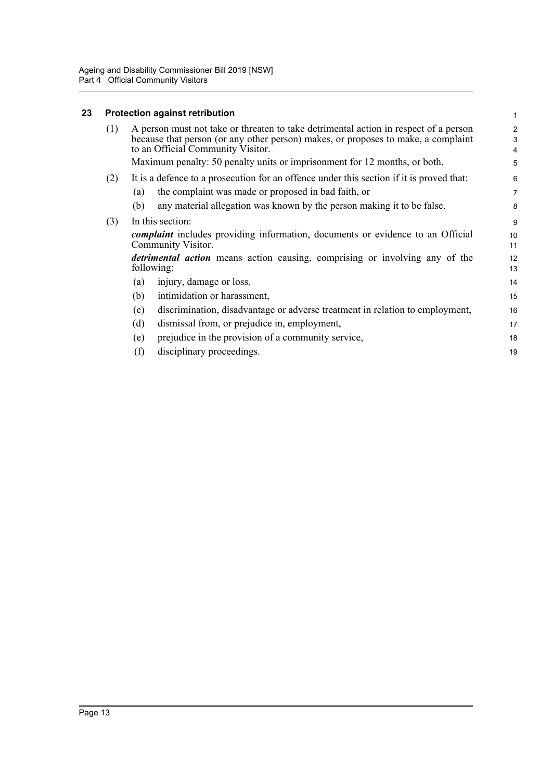## <span id="page-19-0"></span>**23 Protection against retribution**

|     | <b>Protection against retribution</b>                                                                                                                                                                          | $\mathbf{1}$                          |
|-----|----------------------------------------------------------------------------------------------------------------------------------------------------------------------------------------------------------------|---------------------------------------|
| (1) | A person must not take or threaten to take detrimental action in respect of a person<br>because that person (or any other person) makes, or proposes to make, a complaint<br>to an Official Community Visitor. | $\overline{2}$<br>3<br>$\overline{4}$ |
|     | Maximum penalty: 50 penalty units or imprisonment for 12 months, or both.                                                                                                                                      | 5                                     |
| (2) | It is a defence to a prosecution for an offence under this section if it is proved that:                                                                                                                       | 6                                     |
|     | the complaint was made or proposed in bad faith, or<br>(a)                                                                                                                                                     | $\overline{7}$                        |
|     | any material allegation was known by the person making it to be false.<br>(b)                                                                                                                                  | 8                                     |
| (3) | In this section:                                                                                                                                                                                               | 9                                     |
|     | <i>complaint</i> includes providing information, documents or evidence to an Official<br>Community Visitor.                                                                                                    | 10<br>11                              |
|     | detrimental action means action causing, comprising or involving any of the<br>following:                                                                                                                      | 12<br>13                              |
|     | injury, damage or loss,<br>(a)                                                                                                                                                                                 | 14                                    |
|     | (b)<br>intimidation or harassment,                                                                                                                                                                             | 15                                    |
|     | discrimination, disadvantage or adverse treatment in relation to employment,<br>(c)                                                                                                                            | 16                                    |
|     | (d)<br>dismissal from, or prejudice in, employment,                                                                                                                                                            | 17                                    |
|     | prejudice in the provision of a community service,<br>(e)                                                                                                                                                      | 18                                    |
|     | (f)<br>disciplinary proceedings.                                                                                                                                                                               | 19                                    |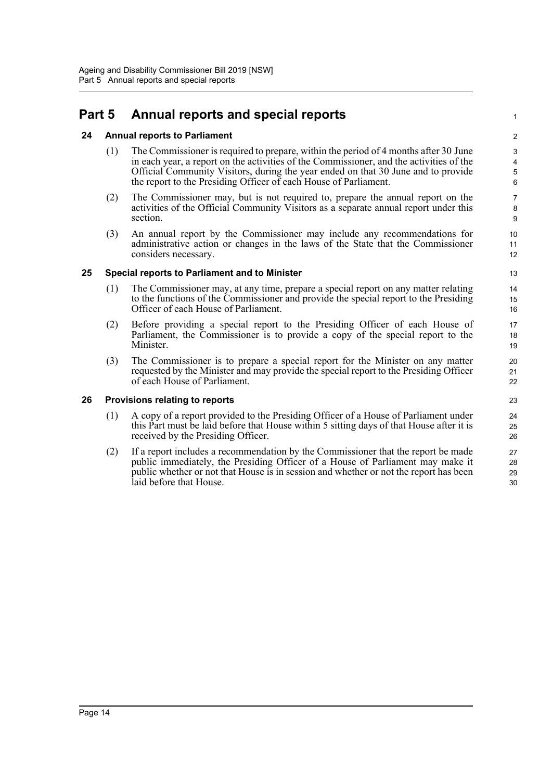## <span id="page-20-0"></span>**Part 5 Annual reports and special reports**

#### <span id="page-20-1"></span>**24 Annual reports to Parliament**

- (1) The Commissioner is required to prepare, within the period of 4 months after 30 June in each year, a report on the activities of the Commissioner, and the activities of the Official Community Visitors, during the year ended on that 30 June and to provide the report to the Presiding Officer of each House of Parliament.
- (2) The Commissioner may, but is not required to, prepare the annual report on the activities of the Official Community Visitors as a separate annual report under this section.
- (3) An annual report by the Commissioner may include any recommendations for administrative action or changes in the laws of the State that the Commissioner considers necessary.

#### <span id="page-20-2"></span>**25 Special reports to Parliament and to Minister**

- (1) The Commissioner may, at any time, prepare a special report on any matter relating to the functions of the Commissioner and provide the special report to the Presiding Officer of each House of Parliament.
- (2) Before providing a special report to the Presiding Officer of each House of Parliament, the Commissioner is to provide a copy of the special report to the Minister.
- (3) The Commissioner is to prepare a special report for the Minister on any matter requested by the Minister and may provide the special report to the Presiding Officer of each House of Parliament.

#### <span id="page-20-3"></span>**26 Provisions relating to reports**

- (1) A copy of a report provided to the Presiding Officer of a House of Parliament under this Part must be laid before that House within 5 sitting days of that House after it is received by the Presiding Officer.
- (2) If a report includes a recommendation by the Commissioner that the report be made public immediately, the Presiding Officer of a House of Parliament may make it public whether or not that House is in session and whether or not the report has been laid before that House.

1

 $\overline{2}$ 3 4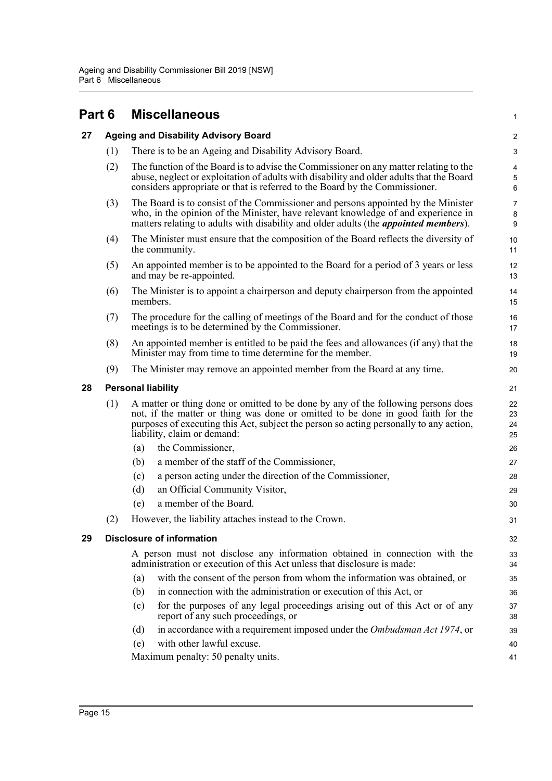<span id="page-21-3"></span><span id="page-21-2"></span><span id="page-21-1"></span><span id="page-21-0"></span>

| Part 6 |     | <b>Miscellaneous</b>                                                                                                                                                                                                                                                                           | 1                              |
|--------|-----|------------------------------------------------------------------------------------------------------------------------------------------------------------------------------------------------------------------------------------------------------------------------------------------------|--------------------------------|
| 27     |     | <b>Ageing and Disability Advisory Board</b>                                                                                                                                                                                                                                                    | 2                              |
|        | (1) | There is to be an Ageing and Disability Advisory Board.                                                                                                                                                                                                                                        | $\ensuremath{\mathsf{3}}$      |
|        | (2) | The function of the Board is to advise the Commissioner on any matter relating to the<br>abuse, neglect or exploitation of adults with disability and older adults that the Board<br>considers appropriate or that is referred to the Board by the Commissioner.                               | 4<br>$\sqrt{5}$<br>6           |
|        | (3) | The Board is to consist of the Commissioner and persons appointed by the Minister<br>who, in the opinion of the Minister, have relevant knowledge of and experience in<br>matters relating to adults with disability and older adults (the <i>appointed members</i> ).                         | $\overline{7}$<br>$\bf 8$<br>9 |
|        | (4) | The Minister must ensure that the composition of the Board reflects the diversity of<br>the community.                                                                                                                                                                                         | 10<br>11                       |
|        | (5) | An appointed member is to be appointed to the Board for a period of 3 years or less<br>and may be re-appointed.                                                                                                                                                                                | 12<br>13                       |
|        | (6) | The Minister is to appoint a chairperson and deputy chairperson from the appointed<br>members.                                                                                                                                                                                                 | 14<br>15                       |
|        | (7) | The procedure for the calling of meetings of the Board and for the conduct of those<br>meetings is to be determined by the Commissioner.                                                                                                                                                       | 16<br>17                       |
|        | (8) | An appointed member is entitled to be paid the fees and allowances (if any) that the<br>Minister may from time to time determine for the member.                                                                                                                                               | 18<br>19                       |
|        | (9) | The Minister may remove an appointed member from the Board at any time.                                                                                                                                                                                                                        | 20                             |
| 28     |     | <b>Personal liability</b>                                                                                                                                                                                                                                                                      | 21                             |
|        | (1) | A matter or thing done or omitted to be done by any of the following persons does<br>not, if the matter or thing was done or omitted to be done in good faith for the<br>purposes of executing this Act, subject the person so acting personally to any action,<br>liability, claim or demand: | 22<br>23<br>24<br>25           |
|        |     | the Commissioner,<br>(a)                                                                                                                                                                                                                                                                       | 26                             |
|        |     | a member of the staff of the Commissioner,<br>(b)                                                                                                                                                                                                                                              | 27                             |
|        |     | a person acting under the direction of the Commissioner,<br>(c)                                                                                                                                                                                                                                | 28                             |
|        |     | (d)<br>an Official Community Visitor,                                                                                                                                                                                                                                                          | 29                             |
|        |     | a member of the Board.<br>(e)                                                                                                                                                                                                                                                                  | 30                             |
|        | (2) | However, the liability attaches instead to the Crown.                                                                                                                                                                                                                                          | 31                             |
| 29     |     | <b>Disclosure of information</b>                                                                                                                                                                                                                                                               | 32                             |
|        |     | A person must not disclose any information obtained in connection with the<br>administration or execution of this Act unless that disclosure is made:                                                                                                                                          | 33<br>34                       |
|        |     | with the consent of the person from whom the information was obtained, or<br>(a)                                                                                                                                                                                                               | 35                             |
|        |     | in connection with the administration or execution of this Act, or<br>(b)                                                                                                                                                                                                                      | 36                             |
|        |     | for the purposes of any legal proceedings arising out of this Act or of any<br>(c)<br>report of any such proceedings, or                                                                                                                                                                       | 37<br>38                       |
|        |     | in accordance with a requirement imposed under the Ombudsman Act 1974, or<br>(d)                                                                                                                                                                                                               | 39                             |
|        |     | with other lawful excuse.<br>(e)                                                                                                                                                                                                                                                               | 40                             |
|        |     | Maximum penalty: 50 penalty units.                                                                                                                                                                                                                                                             | 41                             |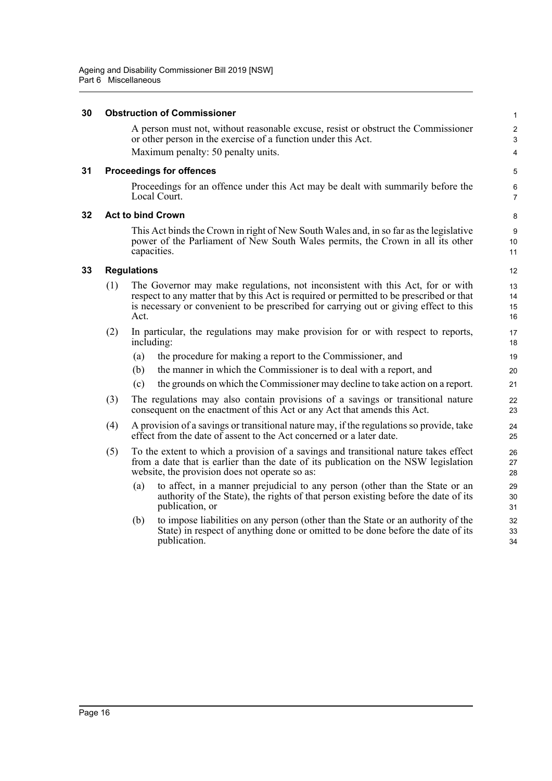#### <span id="page-22-0"></span>**30 Obstruction of Commissioner**

A person must not, without reasonable excuse, resist or obstruct the Commissioner or other person in the exercise of a function under this Act. Maximum penalty: 50 penalty units.

1  $\overline{2}$ 3  $\boldsymbol{\Lambda}$ 

5 6 7

#### <span id="page-22-1"></span>**31 Proceedings for offences**

Proceedings for an offence under this Act may be dealt with summarily before the Local Court.

#### <span id="page-22-2"></span>**32 Act to bind Crown**

This Act binds the Crown in right of New South Wales and, in so far as the legislative power of the Parliament of New South Wales permits, the Crown in all its other capacities.

#### <span id="page-22-3"></span>**33 Regulations**

- (1) The Governor may make regulations, not inconsistent with this Act, for or with respect to any matter that by this Act is required or permitted to be prescribed or that is necessary or convenient to be prescribed for carrying out or giving effect to this Act.
- (2) In particular, the regulations may make provision for or with respect to reports, including:
	- (a) the procedure for making a report to the Commissioner, and
	- (b) the manner in which the Commissioner is to deal with a report, and
	- (c) the grounds on which the Commissioner may decline to take action on a report.
- (3) The regulations may also contain provisions of a savings or transitional nature consequent on the enactment of this Act or any Act that amends this Act.
- (4) A provision of a savings or transitional nature may, if the regulations so provide, take effect from the date of assent to the Act concerned or a later date.
- (5) To the extent to which a provision of a savings and transitional nature takes effect from a date that is earlier than the date of its publication on the NSW legislation website, the provision does not operate so as:
	- (a) to affect, in a manner prejudicial to any person (other than the State or an authority of the State), the rights of that person existing before the date of its publication, or
	- (b) to impose liabilities on any person (other than the State or an authority of the State) in respect of anything done or omitted to be done before the date of its publication.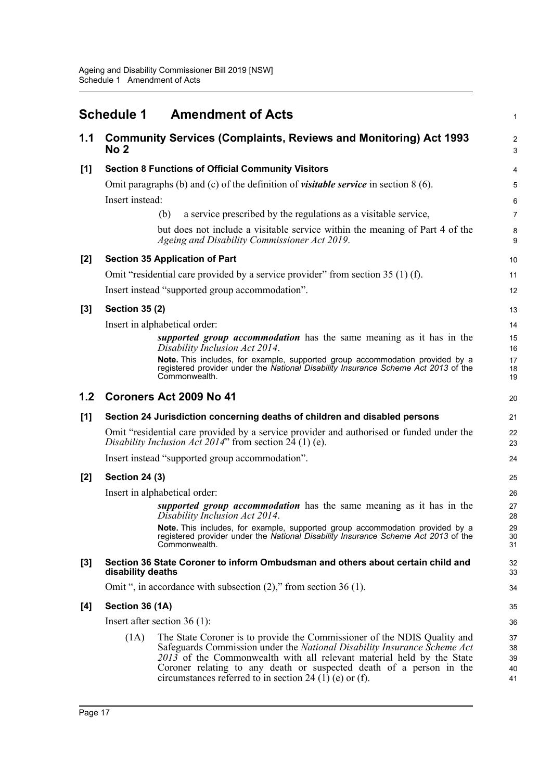<span id="page-23-0"></span>

|     | <b>Schedule 1</b>     | <b>Amendment of Acts</b>                                                                                                                                                                                                                                                                                                                                        | $\mathbf{1}$               |
|-----|-----------------------|-----------------------------------------------------------------------------------------------------------------------------------------------------------------------------------------------------------------------------------------------------------------------------------------------------------------------------------------------------------------|----------------------------|
| 1.1 | No 2                  | <b>Community Services (Complaints, Reviews and Monitoring) Act 1993</b>                                                                                                                                                                                                                                                                                         | $\overline{2}$<br>3        |
| [1] |                       | <b>Section 8 Functions of Official Community Visitors</b>                                                                                                                                                                                                                                                                                                       | 4                          |
|     |                       | Omit paragraphs (b) and (c) of the definition of <i>visitable service</i> in section $8(6)$ .                                                                                                                                                                                                                                                                   | 5                          |
|     | Insert instead:       |                                                                                                                                                                                                                                                                                                                                                                 | 6                          |
|     |                       | a service prescribed by the regulations as a visitable service,<br>(b)                                                                                                                                                                                                                                                                                          | $\overline{7}$             |
|     |                       | but does not include a visitable service within the meaning of Part 4 of the<br>Ageing and Disability Commissioner Act 2019.                                                                                                                                                                                                                                    | 8<br>9                     |
| [2] |                       | <b>Section 35 Application of Part</b>                                                                                                                                                                                                                                                                                                                           | 10                         |
|     |                       | Omit "residential care provided by a service provider" from section 35 (1) (f).                                                                                                                                                                                                                                                                                 | 11                         |
|     |                       | Insert instead "supported group accommodation".                                                                                                                                                                                                                                                                                                                 | 12                         |
| [3] | <b>Section 35 (2)</b> |                                                                                                                                                                                                                                                                                                                                                                 | 13                         |
|     |                       | Insert in alphabetical order:                                                                                                                                                                                                                                                                                                                                   | 14                         |
|     |                       | supported group accommodation has the same meaning as it has in the<br>Disability Inclusion Act 2014.                                                                                                                                                                                                                                                           | 15<br>16                   |
|     |                       | Note. This includes, for example, supported group accommodation provided by a<br>registered provider under the National Disability Insurance Scheme Act 2013 of the<br>Commonwealth.                                                                                                                                                                            | 17<br>18<br>19             |
| 1.2 |                       | Coroners Act 2009 No 41                                                                                                                                                                                                                                                                                                                                         | 20                         |
| [1] |                       | Section 24 Jurisdiction concerning deaths of children and disabled persons                                                                                                                                                                                                                                                                                      | 21                         |
|     |                       | Omit "residential care provided by a service provider and authorised or funded under the<br>Disability Inclusion Act 2014" from section $24(1)$ (e).                                                                                                                                                                                                            | 22<br>23                   |
|     |                       | Insert instead "supported group accommodation".                                                                                                                                                                                                                                                                                                                 | 24                         |
| [2] | <b>Section 24 (3)</b> |                                                                                                                                                                                                                                                                                                                                                                 | 25                         |
|     |                       | Insert in alphabetical order:                                                                                                                                                                                                                                                                                                                                   | 26                         |
|     |                       | supported group accommodation has the same meaning as it has in the<br>Disability Inclusion Act 2014.                                                                                                                                                                                                                                                           | 27<br>28                   |
|     |                       | Note. This includes, for example, supported group accommodation provided by a<br>registered provider under the National Disability Insurance Scheme Act 2013 of the<br>Commonwealth.                                                                                                                                                                            | 29<br>30<br>31             |
| [3] | disability deaths     | Section 36 State Coroner to inform Ombudsman and others about certain child and                                                                                                                                                                                                                                                                                 | 32<br>33                   |
|     |                       | Omit ", in accordance with subsection $(2)$ ," from section 36 (1).                                                                                                                                                                                                                                                                                             | 34                         |
| [4] | Section 36 (1A)       |                                                                                                                                                                                                                                                                                                                                                                 | 35                         |
|     |                       | Insert after section $36(1)$ :                                                                                                                                                                                                                                                                                                                                  | 36                         |
|     | (1A)                  | The State Coroner is to provide the Commissioner of the NDIS Quality and<br>Safeguards Commission under the National Disability Insurance Scheme Act<br>2013 of the Commonwealth with all relevant material held by the State<br>Coroner relating to any death or suspected death of a person in the<br>circumstances referred to in section 24 (1) (e) or (f). | 37<br>38<br>39<br>40<br>41 |